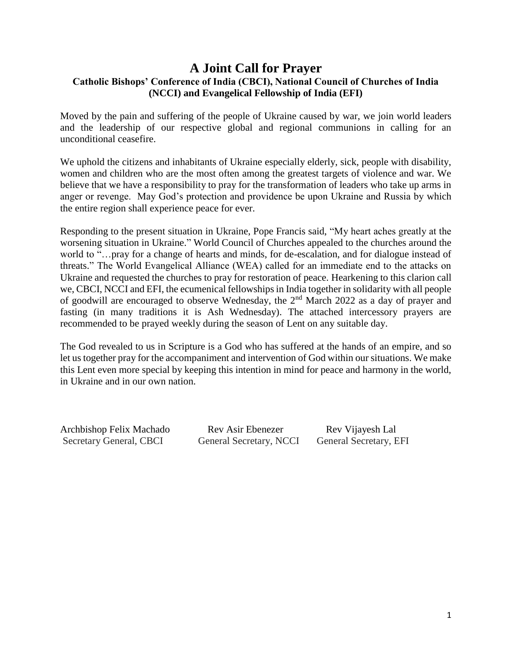#### **A Joint Call for Prayer Catholic Bishops' Conference of India (CBCI), National Council of Churches of India (NCCI) and Evangelical Fellowship of India (EFI)**

Moved by the pain and suffering of the people of Ukraine caused by war, we join world leaders and the leadership of our respective global and regional communions in calling for an unconditional ceasefire.

We uphold the citizens and inhabitants of Ukraine especially elderly, sick, people with disability, women and children who are the most often among the greatest targets of violence and war. We believe that we have a responsibility to pray for the transformation of leaders who take up arms in anger or revenge. May God's protection and providence be upon Ukraine and Russia by which the entire region shall experience peace for ever.

Responding to the present situation in Ukraine, Pope Francis said, "My heart aches greatly at the worsening situation in Ukraine." World Council of Churches appealed to the churches around the world to "…pray for a change of hearts and minds, for de-escalation, and for dialogue instead of threats." The World Evangelical Alliance (WEA) called for an immediate end to the attacks on Ukraine and requested the churches to pray for restoration of peace. Hearkening to this clarion call we, CBCI, NCCI and EFI, the ecumenical fellowships in India together in solidarity with all people of goodwill are encouraged to observe Wednesday, the 2nd March 2022 as a day of prayer and fasting (in many traditions it is Ash Wednesday). The attached intercessory prayers are recommended to be prayed weekly during the season of Lent on any suitable day.

The God revealed to us in Scripture is a God who has suffered at the hands of an empire, and so let us together pray for the accompaniment and intervention of God within our situations. We make this Lent even more special by keeping this intention in mind for peace and harmony in the world, in Ukraine and in our own nation.

Archbishop Felix Machado Rev Asir Ebenezer Rev Vijayesh Lal Secretary General, CBCI General Secretary, NCCI General Secretary, EFI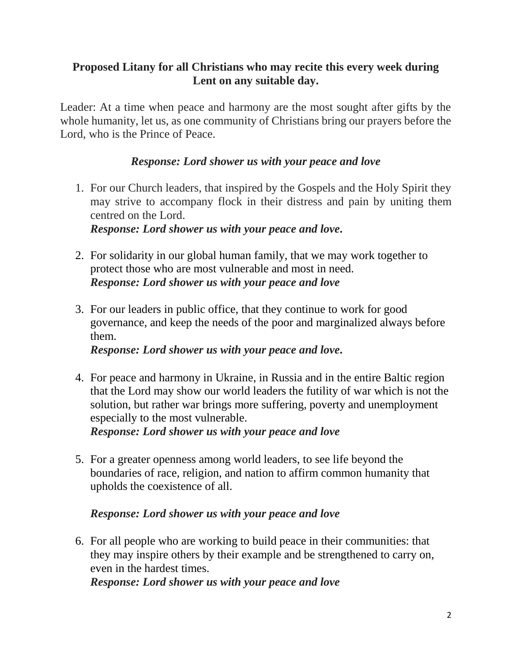#### **Proposed Litany for all Christians who may recite this every week during Lent on any suitable day.**

Leader: At a time when peace and harmony are the most sought after gifts by the whole humanity, let us, as one community of Christians bring our prayers before the Lord, who is the Prince of Peace.

## *Response: Lord shower us with your peace and love*

- 1. For our Church leaders, that inspired by the Gospels and the Holy Spirit they may strive to accompany flock in their distress and pain by uniting them centred on the Lord. *Response: Lord shower us with your peace and love.*
- 2. For solidarity in our global human family, that we may work together to protect those who are most vulnerable and most in need. *Response: Lord shower us with your peace and love*
- 3. For our leaders in public office, that they continue to work for good governance, and keep the needs of the poor and marginalized always before them.

*Response: Lord shower us with your peace and love.*

- 4. For peace and harmony in Ukraine, in Russia and in the entire Baltic region that the Lord may show our world leaders the futility of war which is not the solution, but rather war brings more suffering, poverty and unemployment especially to the most vulnerable. *Response: Lord shower us with your peace and love*
- 5. For a greater openness among world leaders, to see life beyond the boundaries of race, religion, and nation to affirm common humanity that upholds the coexistence of all.

# *Response: Lord shower us with your peace and love*

6. For all people who are working to build peace in their communities: that they may inspire others by their example and be strengthened to carry on, even in the hardest times.

*Response: Lord shower us with your peace and love*